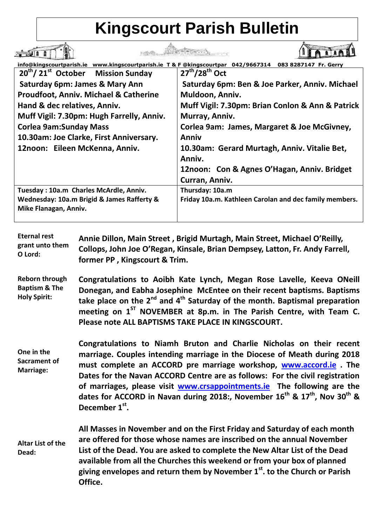## **Kingscourt Parish Bulletin**

| info@kingscourtparish.ie www.kingscourtparish.ie T & F @kingscourtpar 042/9667314<br>083 8287147 Fr. Gerry          |                                                        |
|---------------------------------------------------------------------------------------------------------------------|--------------------------------------------------------|
| $20^{\text{th}}$ / 21st October<br><b>Mission Sunday</b>                                                            | $27th/28th$ Oct                                        |
| Saturday 6pm: James & Mary Ann                                                                                      | Saturday 6pm: Ben & Joe Parker, Anniv. Michael         |
| <b>Proudfoot, Anniv. Michael &amp; Catherine</b>                                                                    | Muldoon, Anniv.                                        |
| Hand & dec relatives, Anniv.                                                                                        | Muff Vigil: 7.30pm: Brian Conlon & Ann & Patrick       |
| Muff Vigil: 7.30pm: Hugh Farrelly, Anniv.                                                                           | Murray, Anniv.                                         |
| <b>Corlea 9am:Sunday Mass</b>                                                                                       | Corlea 9am: James, Margaret & Joe McGivney,            |
| 10.30am: Joe Clarke, First Anniversary.                                                                             | Anniv                                                  |
| 12noon: Eileen McKenna, Anniv.                                                                                      | 10.30am: Gerard Murtagh, Anniv. Vitalie Bet,           |
|                                                                                                                     | Anniv.                                                 |
|                                                                                                                     | 12noon: Con & Agnes O'Hagan, Anniv. Bridget            |
|                                                                                                                     | Curran, Anniv.                                         |
| Tuesday: 10a.m Charles McArdle, Anniv.                                                                              | Thursday: 10a.m                                        |
| Wednesday: 10a.m Brigid & James Rafferty &                                                                          | Friday 10a.m. Kathleen Carolan and dec family members. |
| Mike Flanagan, Anniv.                                                                                               |                                                        |
|                                                                                                                     |                                                        |
| <b>Eternal rest</b><br>Annie Dillon, Main Street, Brigid Murtagh, Main Street, Michael O'Reilly,<br>arant unto them |                                                        |

**grant unto them O Lord: Collops, John Joe O'Regan, Kinsale, Brian Dempsey, Latton, Fr. Andy Farrell, former PP , Kingscourt & Trim.**

**Reborn through Baptism & The Holy Spirit: Congratulations to Aoibh Kate Lynch, Megan Rose Lavelle, Keeva ONeill Donegan, and Eabha Josephine McEntee on their recent baptisms. Baptisms take place on the 2nd and 4th Saturday of the month. Baptismal preparation**  meeting on 1<sup>ST</sup> NOVEMBER at 8p.m. in The Parish Centre, with Team C. **Please note ALL BAPTISMS TAKE PLACE IN KINGSCOURT.**

**One in the Sacrament of Marriage: Congratulations to Niamh Bruton and Charlie Nicholas on their recent marriage. Couples intending marriage in the Diocese of Meath during 2018 must complete an ACCORD pre marriage workshop, [www.accord.ie](http://www.accord.ie/) . The Dates for the Navan ACCORD Centre are as follows: For the civil registration of marriages, please visit [www.crsappointments.ie](http://www.crsappointments.ie/) The following are the dates for ACCORD in Navan during 2018:, November 16th & 17th, Nov 30th & December 1st .**

**Altar List of the Dead: All Masses in November and on the First Friday and Saturday of each month are offered for those whose names are inscribed on the annual November List of the Dead. You are asked to complete the New Altar List of the Dead available from all the Churches this weekend or from your box of planned giving envelopes and return them by November 1st. to the Church or Parish Office.**